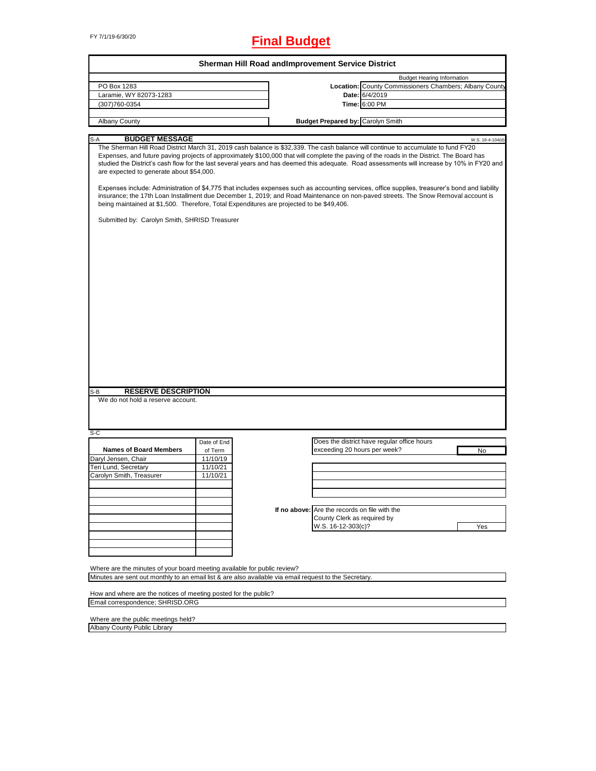# FY 7/1/19-6/30/20 **Final Budget**

|                                                                                                                                                                                                                                                                                                                                                                                                                                                                                                                                                                                                                              | Sherman Hill Road and Improvement Service District |                                               |                                                        |                  |
|------------------------------------------------------------------------------------------------------------------------------------------------------------------------------------------------------------------------------------------------------------------------------------------------------------------------------------------------------------------------------------------------------------------------------------------------------------------------------------------------------------------------------------------------------------------------------------------------------------------------------|----------------------------------------------------|-----------------------------------------------|--------------------------------------------------------|------------------|
|                                                                                                                                                                                                                                                                                                                                                                                                                                                                                                                                                                                                                              |                                                    |                                               | <b>Budget Hearing Information</b>                      |                  |
| PO Box 1283                                                                                                                                                                                                                                                                                                                                                                                                                                                                                                                                                                                                                  |                                                    |                                               | Location: County Commissioners Chambers; Albany County |                  |
| Laramie, WY 82073-1283                                                                                                                                                                                                                                                                                                                                                                                                                                                                                                                                                                                                       |                                                    |                                               | Date: 6/4/2019                                         |                  |
| (307)760-0354                                                                                                                                                                                                                                                                                                                                                                                                                                                                                                                                                                                                                |                                                    |                                               | Time: 6:00 PM                                          |                  |
|                                                                                                                                                                                                                                                                                                                                                                                                                                                                                                                                                                                                                              |                                                    |                                               |                                                        |                  |
| Albany County                                                                                                                                                                                                                                                                                                                                                                                                                                                                                                                                                                                                                |                                                    | <b>Budget Prepared by: Carolyn Smith</b>      |                                                        |                  |
|                                                                                                                                                                                                                                                                                                                                                                                                                                                                                                                                                                                                                              |                                                    |                                               |                                                        |                  |
| <b>BUDGET MESSAGE</b><br>S-A                                                                                                                                                                                                                                                                                                                                                                                                                                                                                                                                                                                                 |                                                    |                                               |                                                        | W.S. 16-4-104(d) |
| The Sherman Hill Road District March 31, 2019 cash balance is \$32,339. The cash balance will continue to accumulate to fund FY20<br>Expenses, and future paving projects of approximately \$100,000 that will complete the paving of the roads in the District. The Board has<br>studied the District's cash flow for the last several years and has deemed this adequate. Road assessments will increase by 10% in FY20 and<br>are expected to generate about \$54,000.<br>Expenses include: Administration of \$4,775 that includes expenses such as accounting services, office supplies, treasurer's bond and liability |                                                    |                                               |                                                        |                  |
| insurance; the 17th Loan Installment due December 1, 2019; and Road Maintenance on non-paved streets. The Snow Removal account is<br>being maintained at \$1,500. Therefore, Total Expenditures are projected to be \$49,406.                                                                                                                                                                                                                                                                                                                                                                                                |                                                    |                                               |                                                        |                  |
| Submitted by: Carolyn Smith, SHRISD Treasurer                                                                                                                                                                                                                                                                                                                                                                                                                                                                                                                                                                                |                                                    |                                               |                                                        |                  |
|                                                                                                                                                                                                                                                                                                                                                                                                                                                                                                                                                                                                                              |                                                    |                                               |                                                        |                  |
|                                                                                                                                                                                                                                                                                                                                                                                                                                                                                                                                                                                                                              |                                                    |                                               |                                                        |                  |
|                                                                                                                                                                                                                                                                                                                                                                                                                                                                                                                                                                                                                              |                                                    |                                               |                                                        |                  |
|                                                                                                                                                                                                                                                                                                                                                                                                                                                                                                                                                                                                                              |                                                    |                                               |                                                        |                  |
|                                                                                                                                                                                                                                                                                                                                                                                                                                                                                                                                                                                                                              |                                                    |                                               |                                                        |                  |
|                                                                                                                                                                                                                                                                                                                                                                                                                                                                                                                                                                                                                              |                                                    |                                               |                                                        |                  |
|                                                                                                                                                                                                                                                                                                                                                                                                                                                                                                                                                                                                                              |                                                    |                                               |                                                        |                  |
|                                                                                                                                                                                                                                                                                                                                                                                                                                                                                                                                                                                                                              |                                                    |                                               |                                                        |                  |
|                                                                                                                                                                                                                                                                                                                                                                                                                                                                                                                                                                                                                              |                                                    |                                               |                                                        |                  |
|                                                                                                                                                                                                                                                                                                                                                                                                                                                                                                                                                                                                                              |                                                    |                                               |                                                        |                  |
|                                                                                                                                                                                                                                                                                                                                                                                                                                                                                                                                                                                                                              |                                                    |                                               |                                                        |                  |
|                                                                                                                                                                                                                                                                                                                                                                                                                                                                                                                                                                                                                              |                                                    |                                               |                                                        |                  |
|                                                                                                                                                                                                                                                                                                                                                                                                                                                                                                                                                                                                                              |                                                    |                                               |                                                        |                  |
|                                                                                                                                                                                                                                                                                                                                                                                                                                                                                                                                                                                                                              |                                                    |                                               |                                                        |                  |
|                                                                                                                                                                                                                                                                                                                                                                                                                                                                                                                                                                                                                              |                                                    |                                               |                                                        |                  |
|                                                                                                                                                                                                                                                                                                                                                                                                                                                                                                                                                                                                                              |                                                    |                                               |                                                        |                  |
|                                                                                                                                                                                                                                                                                                                                                                                                                                                                                                                                                                                                                              |                                                    |                                               |                                                        |                  |
|                                                                                                                                                                                                                                                                                                                                                                                                                                                                                                                                                                                                                              |                                                    |                                               |                                                        |                  |
|                                                                                                                                                                                                                                                                                                                                                                                                                                                                                                                                                                                                                              |                                                    |                                               |                                                        |                  |
| <b>RESERVE DESCRIPTION</b><br>S-B                                                                                                                                                                                                                                                                                                                                                                                                                                                                                                                                                                                            |                                                    |                                               |                                                        |                  |
| We do not hold a reserve account.                                                                                                                                                                                                                                                                                                                                                                                                                                                                                                                                                                                            |                                                    |                                               |                                                        |                  |
|                                                                                                                                                                                                                                                                                                                                                                                                                                                                                                                                                                                                                              |                                                    |                                               |                                                        |                  |
|                                                                                                                                                                                                                                                                                                                                                                                                                                                                                                                                                                                                                              |                                                    |                                               |                                                        |                  |
|                                                                                                                                                                                                                                                                                                                                                                                                                                                                                                                                                                                                                              |                                                    |                                               |                                                        |                  |
| $S-C$                                                                                                                                                                                                                                                                                                                                                                                                                                                                                                                                                                                                                        |                                                    |                                               |                                                        |                  |
|                                                                                                                                                                                                                                                                                                                                                                                                                                                                                                                                                                                                                              | Date of End                                        |                                               | Does the district have regular office hours            |                  |
| <b>Names of Board Members</b>                                                                                                                                                                                                                                                                                                                                                                                                                                                                                                                                                                                                | of Term                                            | exceeding 20 hours per week?                  |                                                        | No               |
| Daryl Jensen, Chair                                                                                                                                                                                                                                                                                                                                                                                                                                                                                                                                                                                                          | 11/10/19                                           |                                               |                                                        |                  |
| Teri Lund, Secretary                                                                                                                                                                                                                                                                                                                                                                                                                                                                                                                                                                                                         | 11/10/21                                           |                                               |                                                        |                  |
| Carolyn Smith, Treasurer                                                                                                                                                                                                                                                                                                                                                                                                                                                                                                                                                                                                     | 11/10/21                                           |                                               |                                                        |                  |
|                                                                                                                                                                                                                                                                                                                                                                                                                                                                                                                                                                                                                              |                                                    |                                               |                                                        |                  |
|                                                                                                                                                                                                                                                                                                                                                                                                                                                                                                                                                                                                                              |                                                    |                                               |                                                        |                  |
|                                                                                                                                                                                                                                                                                                                                                                                                                                                                                                                                                                                                                              |                                                    |                                               |                                                        |                  |
|                                                                                                                                                                                                                                                                                                                                                                                                                                                                                                                                                                                                                              |                                                    |                                               |                                                        |                  |
|                                                                                                                                                                                                                                                                                                                                                                                                                                                                                                                                                                                                                              |                                                    | If no above: Are the records on file with the |                                                        |                  |
|                                                                                                                                                                                                                                                                                                                                                                                                                                                                                                                                                                                                                              |                                                    | County Clerk as required by                   |                                                        |                  |
|                                                                                                                                                                                                                                                                                                                                                                                                                                                                                                                                                                                                                              |                                                    | W.S. 16-12-303(c)?                            |                                                        | Yes              |
|                                                                                                                                                                                                                                                                                                                                                                                                                                                                                                                                                                                                                              |                                                    |                                               |                                                        |                  |
|                                                                                                                                                                                                                                                                                                                                                                                                                                                                                                                                                                                                                              |                                                    |                                               |                                                        |                  |
|                                                                                                                                                                                                                                                                                                                                                                                                                                                                                                                                                                                                                              |                                                    |                                               |                                                        |                  |
|                                                                                                                                                                                                                                                                                                                                                                                                                                                                                                                                                                                                                              |                                                    |                                               |                                                        |                  |
| Where are the minutes of your board meeting available for public review?                                                                                                                                                                                                                                                                                                                                                                                                                                                                                                                                                     |                                                    |                                               |                                                        |                  |
| Minutes are sent out monthly to an email list & are also available via email request to the Secretary.                                                                                                                                                                                                                                                                                                                                                                                                                                                                                                                       |                                                    |                                               |                                                        |                  |
|                                                                                                                                                                                                                                                                                                                                                                                                                                                                                                                                                                                                                              |                                                    |                                               |                                                        |                  |
|                                                                                                                                                                                                                                                                                                                                                                                                                                                                                                                                                                                                                              |                                                    |                                               |                                                        |                  |
| How and where are the notices of meeting posted for the public?                                                                                                                                                                                                                                                                                                                                                                                                                                                                                                                                                              |                                                    |                                               |                                                        |                  |
| Email correspondence; SHRISD.ORG                                                                                                                                                                                                                                                                                                                                                                                                                                                                                                                                                                                             |                                                    |                                               |                                                        |                  |

Where are the public meetings held?

Albany County Public Library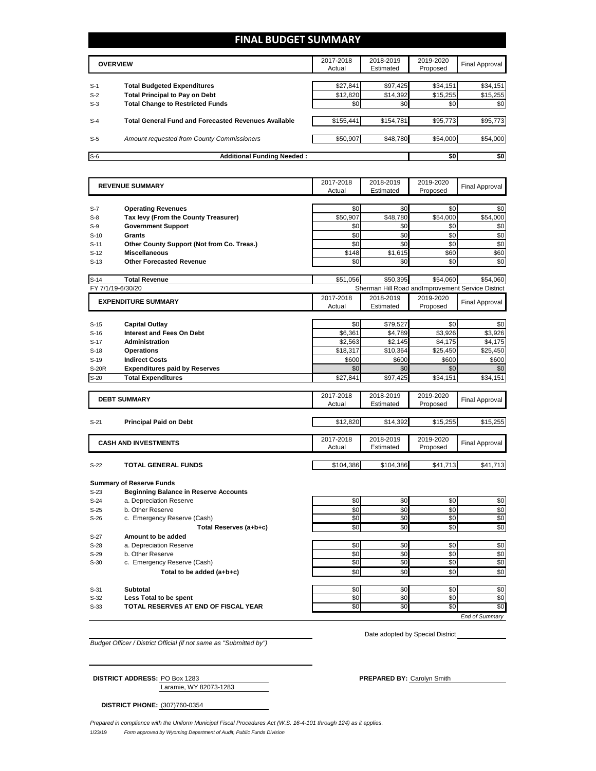## **FINAL BUDGET SUMMARY**

| <b>OVERVIEW</b> |                                                      | 2017-2018<br>Actual | 2018-2019<br>Estimated | 2019-2020<br>Proposed | Final Approval |
|-----------------|------------------------------------------------------|---------------------|------------------------|-----------------------|----------------|
|                 |                                                      |                     |                        |                       |                |
| $S-1$           | <b>Total Budgeted Expenditures</b>                   | \$27.841            | \$97,425               | \$34,151              | \$34,151       |
| $S-2$           | <b>Total Principal to Pay on Debt</b>                | \$12,820            | \$14,392               | \$15,255              | \$15,255       |
| $S-3$           | <b>Total Change to Restricted Funds</b>              | \$0                 | \$0                    | \$0                   | \$0            |
|                 |                                                      |                     |                        |                       |                |
| $S-4$           | Total General Fund and Forecasted Revenues Available | \$155,441           | \$154,781              | \$95,773              | \$95,773       |
|                 |                                                      |                     |                        |                       |                |
| $S-5$           | Amount requested from County Commissioners           | \$50,907            | \$48,780               | \$54.000              | \$54,000       |
|                 |                                                      |                     |                        |                       |                |
| $S-6$           | <b>Additional Funding Needed:</b>                    |                     |                        | \$0                   | \$0            |

| <b>REVENUE SUMMARY</b> |                                                                                 | 2017-2018<br>Actual | 2018-2019<br>Estimated | 2019-2020<br>Proposed | <b>Final Approval</b>                             |
|------------------------|---------------------------------------------------------------------------------|---------------------|------------------------|-----------------------|---------------------------------------------------|
|                        |                                                                                 |                     |                        |                       |                                                   |
| $S-7$                  | <b>Operating Revenues</b>                                                       | \$0                 | \$0                    | \$0                   | \$0                                               |
| $S-8$                  | Tax levy (From the County Treasurer)                                            | \$50,907            | \$48,780               | \$54,000              | \$54,000                                          |
| $S-9$                  | <b>Government Support</b>                                                       | \$0                 | \$0                    | \$0                   | \$0                                               |
| $S-10$                 | Grants                                                                          | \$0                 | \$0                    | \$0                   | \$0                                               |
| $S-11$                 | Other County Support (Not from Co. Treas.)                                      | \$0                 | \$0                    | \$0                   | \$0                                               |
| $S-12$                 | <b>Miscellaneous</b>                                                            | \$148               | \$1,615                | \$60                  | \$60                                              |
| $S-13$                 | <b>Other Forecasted Revenue</b>                                                 | \$0                 | \$0                    | \$0                   | \$0                                               |
|                        |                                                                                 |                     |                        |                       |                                                   |
| $S-14$                 | <b>Total Revenue</b>                                                            | \$51,056            | \$50,395               | \$54,060              | \$54.060                                          |
|                        | FY 7/1/19-6/30/20                                                               |                     |                        |                       | Sherman Hill Road and mprovement Service District |
|                        | <b>EXPENDITURE SUMMARY</b>                                                      | 2017-2018           | 2018-2019              | 2019-2020             | Final Approval                                    |
|                        |                                                                                 | Actual              | Estimated              | Proposed              |                                                   |
|                        |                                                                                 | \$0                 | \$79,527               | \$0                   | \$0                                               |
| $S-15$<br>$S-16$       | <b>Capital Outlay</b><br><b>Interest and Fees On Debt</b>                       | \$6,361             | \$4,789                | \$3,926               | \$3,926                                           |
| $S-17$                 | <b>Administration</b>                                                           | \$2,563             | \$2,145                | \$4,175               |                                                   |
| $S-18$                 | <b>Operations</b>                                                               | \$18,317            | \$10,364               | \$25,450              | \$4,175<br>\$25,450                               |
| $S-19$                 | <b>Indirect Costs</b>                                                           | \$600               | \$600                  | \$600                 | \$600                                             |
| S-20R                  | <b>Expenditures paid by Reserves</b>                                            | \$0                 | \$0                    | \$0                   | \$0                                               |
| $S-20$                 | <b>Total Expenditures</b>                                                       | \$27,841            | \$97,425               | \$34,151              | \$34,151                                          |
|                        |                                                                                 |                     |                        |                       |                                                   |
|                        | <b>DEBT SUMMARY</b>                                                             | 2017-2018           | 2018-2019              | 2019-2020             |                                                   |
|                        |                                                                                 | Actual              | Estimated              | Proposed              | <b>Final Approval</b>                             |
|                        |                                                                                 |                     |                        |                       |                                                   |
| $S-21$                 | <b>Principal Paid on Debt</b>                                                   | \$12,820            | \$14,392               | \$15,255              | \$15,255                                          |
|                        |                                                                                 | 2017-2018           | 2018-2019              | 2019-2020             |                                                   |
|                        | <b>CASH AND INVESTMENTS</b>                                                     | Actual              | Estimated              | Proposed              | <b>Final Approval</b>                             |
|                        |                                                                                 |                     |                        |                       |                                                   |
| $S-22$                 | <b>TOTAL GENERAL FUNDS</b>                                                      | \$104,386           | \$104,386              | \$41,713              | \$41,713                                          |
|                        |                                                                                 |                     |                        |                       |                                                   |
| $S-23$                 | <b>Summary of Reserve Funds</b><br><b>Beginning Balance in Reserve Accounts</b> |                     |                        |                       |                                                   |
| $S-24$                 | a. Depreciation Reserve                                                         | \$0                 | \$0                    | \$0                   | \$0                                               |
| $S-25$                 | b. Other Reserve                                                                | \$0                 | \$0                    | \$0                   | \$0                                               |
| $S-26$                 | c. Emergency Reserve (Cash)                                                     | \$0                 | \$0                    | \$0                   | \$0                                               |
|                        | Total Reserves (a+b+c)                                                          | \$0                 | \$0                    | \$0                   | \$0                                               |
| $S-27$                 | Amount to be added                                                              |                     |                        |                       |                                                   |
| $S-28$                 | a. Depreciation Reserve                                                         | \$0                 | \$0                    | \$0                   | \$0                                               |
| $S-29$                 | b. Other Reserve                                                                | \$0                 | \$0                    | \$0                   | \$0                                               |
| $S-30$                 | c. Emergency Reserve (Cash)                                                     | \$0                 | \$0                    | \$0                   | \$0                                               |
|                        | Total to be added (a+b+c)                                                       | \$0                 | \$0                    | \$0                   | \$0                                               |
|                        |                                                                                 |                     |                        |                       |                                                   |
| $S-31$                 | Subtotal                                                                        | \$0                 | \$0                    | \$0                   | \$0                                               |
| $S-32$                 | Less Total to be spent                                                          | \$0                 | \$0                    | \$0                   | \$0                                               |
| $S-33$                 | <b>TOTAL RESERVES AT END OF FISCAL YEAR</b>                                     | \$0                 | \$0                    | \$0                   | \$0                                               |
|                        |                                                                                 |                     |                        |                       | <b>End of Summary</b>                             |

*Budget Officer / District Official (if not same as "Submitted by")*

Laramie, WY 82073-1283

**DISTRICT ADDRESS:** PO Box 1283 **PREPARED BY:** Carolyn Smith

Date adopted by Special District

**DISTRICT PHONE:** (307)760-0354

1/23/19 *Form approved by Wyoming Department of Audit, Public Funds Division Prepared in compliance with the Uniform Municipal Fiscal Procedures Act (W.S. 16-4-101 through 124) as it applies.*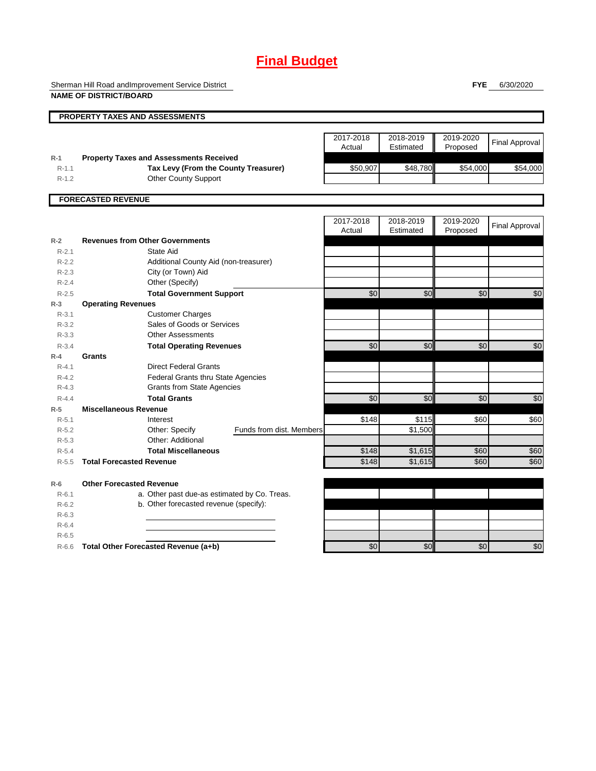## **Final Budget**

Sherman Hill Road andImprovement Service District **NAME OF DISTRICT/BOARD**

**FYE** 6/30/2020

|                                              | <b>PROPERTY TAXES AND ASSESSMENTS</b>                                                                                 |                     |                        |                       |                       |
|----------------------------------------------|-----------------------------------------------------------------------------------------------------------------------|---------------------|------------------------|-----------------------|-----------------------|
|                                              |                                                                                                                       | 2017-2018<br>Actual | 2018-2019<br>Estimated | 2019-2020<br>Proposed | <b>Final Approval</b> |
| $R-1$<br>$R-1.1$<br>$R - 1.2$                | <b>Property Taxes and Assessments Received</b><br>Tax Levy (From the County Treasurer)<br><b>Other County Support</b> | \$50,907            | \$48,780               | \$54,000              | \$54,000              |
|                                              | <b>FORECASTED REVENUE</b>                                                                                             |                     |                        |                       |                       |
|                                              |                                                                                                                       | 2017-2018<br>Actual | 2018-2019<br>Estimated | 2019-2020<br>Proposed | <b>Final Approval</b> |
| $R-2$                                        | <b>Revenues from Other Governments</b>                                                                                |                     |                        |                       |                       |
| $R - 2.1$<br>$R-2.2$<br>$R-2.3$<br>$R-2.4$   | State Aid<br>Additional County Aid (non-treasurer)<br>City (or Town) Aid<br>Other (Specify)                           |                     |                        |                       |                       |
| $R-2.5$                                      | <b>Total Government Support</b>                                                                                       | \$0                 | \$0                    | \$0                   | \$0                   |
| $R-3$                                        | <b>Operating Revenues</b>                                                                                             |                     |                        |                       |                       |
| $R - 3.1$<br>$R - 3.2$                       | <b>Customer Charges</b><br>Sales of Goods or Services                                                                 |                     |                        |                       |                       |
| $R - 3.3$                                    | <b>Other Assessments</b>                                                                                              |                     |                        |                       |                       |
| $R - 3.4$                                    | <b>Total Operating Revenues</b>                                                                                       | \$0                 | \$0                    | \$0                   | \$0                   |
| $R-4$<br>$R - 4.1$<br>$R - 4.2$<br>$R - 4.3$ | Grants<br><b>Direct Federal Grants</b><br>Federal Grants thru State Agencies<br><b>Grants from State Agencies</b>     |                     |                        |                       |                       |
| $R - 4.4$                                    | <b>Total Grants</b>                                                                                                   | \$0                 | \$0                    | \$0                   | \$0                   |
| $R-5$                                        | <b>Miscellaneous Revenue</b>                                                                                          |                     |                        |                       |                       |
| $R - 5.1$<br>$R-5.2$                         | Interest<br>Funds from dist. Members<br>Other: Specify                                                                | \$148               | \$115<br>\$1,500       | \$60                  | \$60                  |
| $R - 5.3$                                    | Other: Additional                                                                                                     |                     |                        |                       |                       |
| $R - 5.4$<br>$R - 5.5$                       | <b>Total Miscellaneous</b><br><b>Total Forecasted Revenue</b>                                                         | \$148<br>\$148      | \$1,615<br>\$1,615     | \$60<br>\$60          | \$60<br>\$60          |
| $R-6$                                        | <b>Other Forecasted Revenue</b>                                                                                       |                     |                        |                       |                       |
| $R - 6.1$<br>$R-6.2$<br>$R-6.3$              | a. Other past due-as estimated by Co. Treas.<br>b. Other forecasted revenue (specify):                                |                     |                        |                       |                       |
| $R-6.4$<br>$R - 6.5$                         |                                                                                                                       |                     |                        |                       |                       |
| $R-6.6$                                      | Total Other Forecasted Revenue (a+b)                                                                                  | $\overline{60}$     | \$0                    | \$0                   | \$0                   |
|                                              |                                                                                                                       |                     |                        |                       |                       |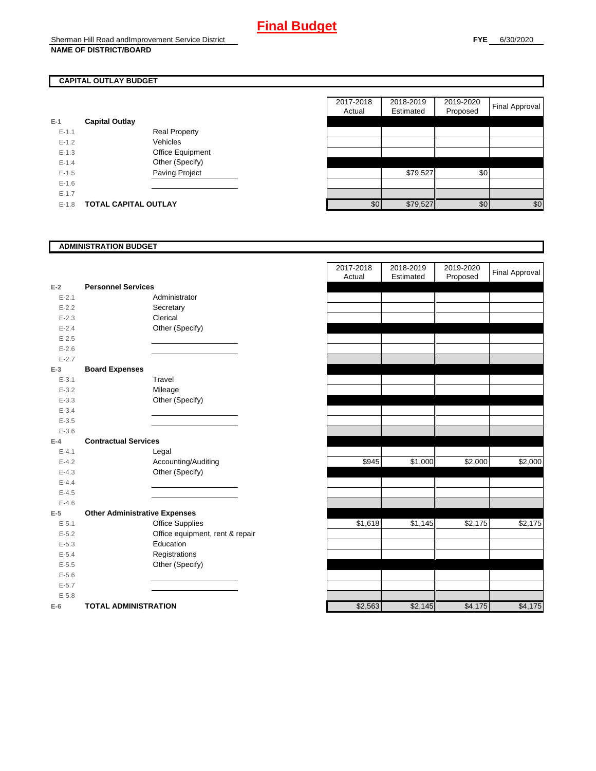## **CAPITAL OUTLAY BUDGET**

| $E-1$     | <b>Capital Outlay</b> |                         |
|-----------|-----------------------|-------------------------|
| $E - 1.1$ |                       | Real Property           |
| $F-12$    |                       | Vehicles                |
| $F-1.3$   |                       | <b>Office Equipment</b> |
| $F-14$    |                       | Other (Specify)         |
| $F-1.5$   |                       | <b>Paving Project</b>   |
| $F-16$    |                       |                         |
| $F-17$    |                       |                         |
| $F-1.8$   | TOTAL CAPITAL OUTLAY  |                         |

|           |                             |                      | 2017-2018 | 2018-2019 | 2019-2020 | <b>Final Approval</b> |
|-----------|-----------------------------|----------------------|-----------|-----------|-----------|-----------------------|
|           |                             |                      | Actual    | Estimated | Proposed  |                       |
|           | <b>Capital Outlay</b>       |                      |           |           |           |                       |
| $E - 1.1$ |                             | <b>Real Property</b> |           |           |           |                       |
| $E-1.2$   |                             | Vehicles             |           |           |           |                       |
| $E-1.3$   |                             | Office Equipment     |           |           |           |                       |
| $E - 1.4$ |                             | Other (Specify)      |           |           |           |                       |
| $E-1.5$   |                             | Paving Project       |           | \$79,527  | \$0       |                       |
| $E-1.6$   |                             |                      |           |           |           |                       |
| $E - 1.7$ |                             |                      |           |           |           |                       |
| $E-1.8$   | <b>TOTAL CAPITAL OUTLAY</b> |                      | \$0       | \$79,527  | \$0       | \$0                   |

### **ADMINISTRATION BUDGET**

| $E-2$     | <b>Personnel Services</b>            |  |
|-----------|--------------------------------------|--|
| $E - 2.1$ | Administrator                        |  |
| $E - 2.2$ | Secretary                            |  |
| $E - 2.3$ | Clerical                             |  |
| $E - 2.4$ | Other (Specify)                      |  |
| $E - 2.5$ |                                      |  |
| $E - 2.6$ |                                      |  |
| $E - 2.7$ |                                      |  |
| $E-3$     | <b>Board Expenses</b>                |  |
| $E - 3.1$ | Travel                               |  |
| $E - 3.2$ | Mileage                              |  |
| $E - 3.3$ | Other (Specify)                      |  |
| $E - 3.4$ |                                      |  |
| $E - 3.5$ |                                      |  |
| $E - 3.6$ |                                      |  |
| $E-4$     | <b>Contractual Services</b>          |  |
| $E - 4.1$ | Legal                                |  |
| $E - 4.2$ | Accounting/Auditing                  |  |
| $E - 4.3$ | Other (Specify)                      |  |
| $E-4.4$   |                                      |  |
| $E - 4.5$ |                                      |  |
| $E - 4.6$ |                                      |  |
| $E-5$     | <b>Other Administrative Expenses</b> |  |
| $E - 5.1$ | <b>Office Supplies</b>               |  |
| $E - 5.2$ | Office equipment, rent & repair      |  |
| $E - 5.3$ | Education                            |  |
| $E - 5.4$ | Registrations                        |  |
| $E - 5.5$ | Other (Specify)                      |  |
| $E - 5.6$ |                                      |  |
| $E - 5.7$ |                                      |  |
| $E - 5.8$ |                                      |  |
| $E-6$     | <b>TOTAL ADMINISTRATION</b>          |  |

|                          |                                      | 2017-2018<br>Actual | 2018-2019<br>Estimated | 2019-2020<br>Proposed | <b>Final Approval</b> |
|--------------------------|--------------------------------------|---------------------|------------------------|-----------------------|-----------------------|
| $\overline{a}$           | <b>Personnel Services</b>            |                     |                        |                       |                       |
| $E - 2.1$                | Administrator                        |                     |                        |                       |                       |
| $E - 2.2$                | Secretary                            |                     |                        |                       |                       |
| $E - 2.3$                | Clerical                             |                     |                        |                       |                       |
| $E - 2.4$                | Other (Specify)                      |                     |                        |                       |                       |
| $E - 2.5$                |                                      |                     |                        |                       |                       |
| $E - 2.6$                |                                      |                     |                        |                       |                       |
| $E - 2.7$                |                                      |                     |                        |                       |                       |
| $\overline{\phantom{a}}$ | <b>Board Expenses</b>                |                     |                        |                       |                       |
| $E - 3.1$                | Travel                               |                     |                        |                       |                       |
| $E - 3.2$                | Mileage                              |                     |                        |                       |                       |
| $E - 3.3$                | Other (Specify)                      |                     |                        |                       |                       |
| $E - 3.4$                |                                      |                     |                        |                       |                       |
| $E - 3.5$                |                                      |                     |                        |                       |                       |
| $E - 3.6$                |                                      |                     |                        |                       |                       |
| f.                       | <b>Contractual Services</b>          |                     |                        |                       |                       |
| $E - 4.1$                | Legal                                |                     |                        |                       |                       |
| $E - 4.2$                | Accounting/Auditing                  | \$945               | \$1,000                | \$2,000               | \$2,000               |
| $E - 4.3$                | Other (Specify)                      |                     |                        |                       |                       |
| $E - 4.4$                |                                      |                     |                        |                       |                       |
| $E - 4.5$                |                                      |                     |                        |                       |                       |
| $E - 4.6$                |                                      |                     |                        |                       |                       |
| $\overline{\mathbf{5}}$  | <b>Other Administrative Expenses</b> |                     |                        |                       |                       |
| $E - 5.1$                | Office Supplies                      | \$1,618             | \$1,145                | \$2,175               | \$2,175               |
| $E - 5.2$                | Office equipment, rent & repair      |                     |                        |                       |                       |
| $E - 5.3$                | Education                            |                     |                        |                       |                       |
| $E - 5.4$                | Registrations                        |                     |                        |                       |                       |
| $E-5.5$                  | Other (Specify)                      |                     |                        |                       |                       |
| $E - 5.6$                |                                      |                     |                        |                       |                       |
| $E - 5.7$                |                                      |                     |                        |                       |                       |
| $E - 5.8$                |                                      |                     |                        |                       |                       |
| ì                        | <b>TOTAL ADMINISTRATION</b>          | \$2,563             | \$2,145                | \$4,175               | \$4,175               |
|                          |                                      |                     |                        |                       |                       |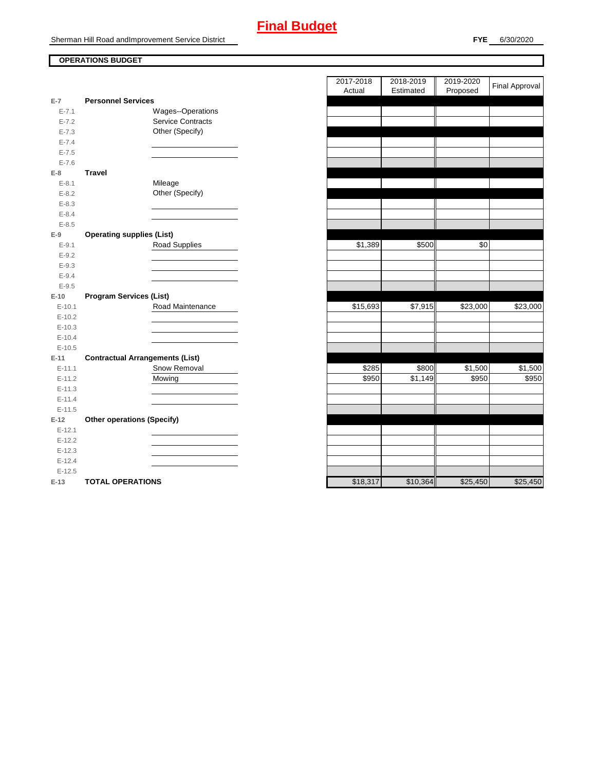# **Final Budget**

Sherman Hill Road andImprovement Service District

### **OPERATIONS BUDGET**

|           |                                        | nuuai    | Louriated | r iupuseu |
|-----------|----------------------------------------|----------|-----------|-----------|
| $E-7$     | <b>Personnel Services</b>              |          |           |           |
| $E - 7.1$ | Wages--Operations                      |          |           |           |
| $E - 7.2$ | Service Contracts                      |          |           |           |
| $E - 7.3$ | Other (Specify)                        |          |           |           |
| $E - 7.4$ |                                        |          |           |           |
| $E - 7.5$ |                                        |          |           |           |
| $E - 7.6$ |                                        |          |           |           |
| $E-8$     | <b>Travel</b>                          |          |           |           |
| $E - 8.1$ | Mileage                                |          |           |           |
| $E - 8.2$ | Other (Specify)                        |          |           |           |
| $E - 8.3$ |                                        |          |           |           |
| $E - 8.4$ |                                        |          |           |           |
| $E - 8.5$ |                                        |          |           |           |
| $E-9$     | <b>Operating supplies (List)</b>       |          |           |           |
| $E - 9.1$ | Road Supplies                          | \$1,389  | \$500     | \$0       |
| $E - 9.2$ |                                        |          |           |           |
| $E - 9.3$ |                                        |          |           |           |
| $E - 9.4$ |                                        |          |           |           |
| $E - 9.5$ |                                        |          |           |           |
| $E-10$    | <b>Program Services (List)</b>         |          |           |           |
| $E-10.1$  | Road Maintenance                       | \$15,693 | \$7,915   | \$23,000  |
| $E-10.2$  |                                        |          |           |           |
| $E-10.3$  |                                        |          |           |           |
| $E-10.4$  |                                        |          |           |           |
| $E-10.5$  |                                        |          |           |           |
| $E-11$    | <b>Contractual Arrangements (List)</b> |          |           |           |
| $E-11.1$  | Snow Removal                           | \$285    | \$800     | \$1,500   |
| $E-11.2$  | Mowing                                 | \$950    | \$1,149   | \$950     |
| $E-11.3$  |                                        |          |           |           |
| $E-11.4$  |                                        |          |           |           |
| $E-11.5$  |                                        |          |           |           |
| $E-12$    | <b>Other operations (Specify)</b>      |          |           |           |
| $E-12.1$  |                                        |          |           |           |
| $E-12.2$  |                                        |          |           |           |
| $E-12.3$  |                                        |          |           |           |
| $E-12.4$  |                                        |          |           |           |
| $E-12.5$  |                                        |          |           |           |
| $E-13$    | <b>TOTAL OPERATIONS</b>                | \$18,317 | \$10,364  | \$25,450  |

|                |                                        | 2017-2018 | 2018-2019            | 2019-2020 |                       |
|----------------|----------------------------------------|-----------|----------------------|-----------|-----------------------|
|                |                                        | Actual    | Estimated            | Proposed  | <b>Final Approval</b> |
| $\overline{7}$ | <b>Personnel Services</b>              |           |                      |           |                       |
| $E - 7.1$      | Wages--Operations                      |           |                      |           |                       |
| $E - 7.2$      | Service Contracts                      |           |                      |           |                       |
| $E - 7.3$      | Other (Specify)                        |           |                      |           |                       |
| $E - 7.4$      |                                        |           |                      |           |                       |
| $E - 7.5$      |                                        |           |                      |           |                       |
| $E - 7.6$      |                                        |           |                      |           |                       |
| 8              | <b>Travel</b>                          |           |                      |           |                       |
| $E-8.1$        | Mileage                                |           |                      |           |                       |
| $E-8.2$        | Other (Specify)                        |           |                      |           |                       |
| $E-8.3$        |                                        |           |                      |           |                       |
| $E - 8.4$      |                                        |           |                      |           |                       |
| $E - 8.5$      |                                        |           |                      |           |                       |
| 9              | <b>Operating supplies (List)</b>       |           |                      |           |                       |
| $E-9.1$        | Road Supplies                          | \$1,389   | \$500                | \$0       |                       |
| $E - 9.2$      |                                        |           |                      |           |                       |
| $E - 9.3$      |                                        |           |                      |           |                       |
| $E - 9.4$      |                                        |           |                      |           |                       |
| $E-9.5$        |                                        |           |                      |           |                       |
| 10             | <b>Program Services (List)</b>         |           |                      |           |                       |
| $E-10.1$       | Road Maintenance                       | \$15,693  | \$7,915              | \$23,000  | \$23,000              |
| $E-10.2$       |                                        |           |                      |           |                       |
| $E-10.3$       |                                        |           |                      |           |                       |
| $E-10.4$       |                                        |           |                      |           |                       |
| $E-10.5$       |                                        |           |                      |           |                       |
| $-11$          | <b>Contractual Arrangements (List)</b> |           |                      |           |                       |
| $E-11.1$       | Snow Removal                           | \$285     | \$800                | \$1,500   | \$1,500               |
| $E-11.2$       | Mowing                                 | \$950     | $\overline{\$1,149}$ | \$950     | \$950                 |
| $E-11.3$       |                                        |           |                      |           |                       |
| $E-11.4$       |                                        |           |                      |           |                       |
| $E-11.5$       |                                        |           |                      |           |                       |
| 12             | <b>Other operations (Specify)</b>      |           |                      |           |                       |
| $E-12.1$       |                                        |           |                      |           |                       |
| $E-12.2$       |                                        |           |                      |           |                       |
| $E-12.3$       |                                        |           |                      |           |                       |
| $E-12.4$       |                                        |           |                      |           |                       |
| $E-12.5$       |                                        |           |                      |           |                       |
| $13 -$         | TOTAL OPERATIONS                       | \$18.317  | \$10,364             | \$25450   | \$25,450              |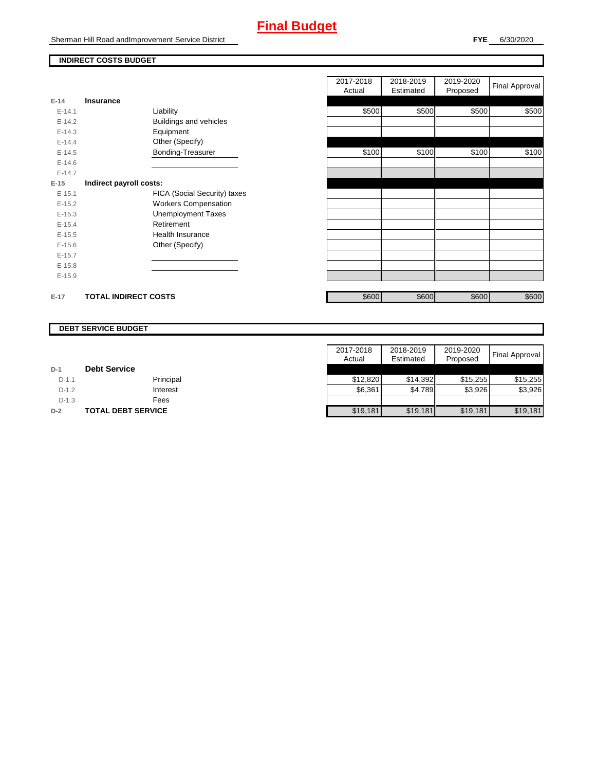# **Final Budget**

Sherman Hill Road andImprovement Service District

### **INDIRECT COSTS BUDGET**

|          |                              | Actual | Estimated | Proposed | . .   |
|----------|------------------------------|--------|-----------|----------|-------|
| $E-14$   | <b>Insurance</b>             |        |           |          |       |
| $E-14.1$ | Liability                    | \$500  | \$500     | \$500    | \$500 |
| $E-14.2$ | Buildings and vehicles       |        |           |          |       |
| $E-14.3$ | Equipment                    |        |           |          |       |
| $E-14.4$ | Other (Specify)              |        |           |          |       |
| $E-14.5$ | Bonding-Treasurer            | \$100  | \$100     | \$100    | \$100 |
| $E-14.6$ |                              |        |           |          |       |
| $E-14.7$ |                              |        |           |          |       |
| $E-15$   | Indirect payroll costs:      |        |           |          |       |
| $E-15.1$ | FICA (Social Security) taxes |        |           |          |       |
| $E-15.2$ | <b>Workers Compensation</b>  |        |           |          |       |
| $E-15.3$ | <b>Unemployment Taxes</b>    |        |           |          |       |
| $E-15.4$ | Retirement                   |        |           |          |       |
| $E-15.5$ | Health Insurance             |        |           |          |       |
| $E-15.6$ | Other (Specify)              |        |           |          |       |
| $E-15.7$ |                              |        |           |          |       |
| $E-15.8$ |                              |        |           |          |       |
| $E-15.9$ |                              |        |           |          |       |
| $E-17$   | <b>TOTAL INDIRECT COSTS</b>  | \$600  | \$600     | \$600    | \$600 |

| 2017-2018<br>Actual | 2018-2019<br>Estimated | 2019-2020<br>Proposed | Final Approval |
|---------------------|------------------------|-----------------------|----------------|
|                     |                        |                       |                |
| \$500               | \$500                  | \$500                 | \$500          |
|                     |                        |                       |                |
|                     |                        |                       |                |
|                     |                        |                       |                |
| \$100               | \$100                  | \$100                 | \$100          |
|                     |                        |                       |                |
|                     |                        |                       |                |
|                     |                        |                       |                |
|                     |                        |                       |                |
|                     |                        |                       |                |
|                     |                        |                       |                |
|                     |                        |                       |                |
|                     |                        |                       |                |
|                     |                        |                       |                |
|                     |                        |                       |                |
|                     |                        |                       |                |
|                     |                        |                       |                |
|                     |                        |                       |                |
| \$600               | \$600                  | \$600                 | \$600          |

### **DEBT SERVICE BUDGET**

|         |                           | 2017-2018 | 2018-2019 | 2019-2020 |                |
|---------|---------------------------|-----------|-----------|-----------|----------------|
|         |                           | Actual    | Estimated | Proposed  | Final Approval |
| $D-1$   | <b>Debt Service</b>       |           |           |           |                |
| $D-1.1$ | Principal                 | \$12,820  | \$14.392  | \$15,255  | \$15,255       |
| $D-1.2$ | Interest                  | \$6,361   | \$4,789   | \$3,926   | \$3,926        |
| $D-1.3$ | Fees                      |           |           |           |                |
| $D-2$   | <b>TOTAL DEBT SERVICE</b> | \$19,181  | \$19,181  | \$19,181  | \$19,181       |